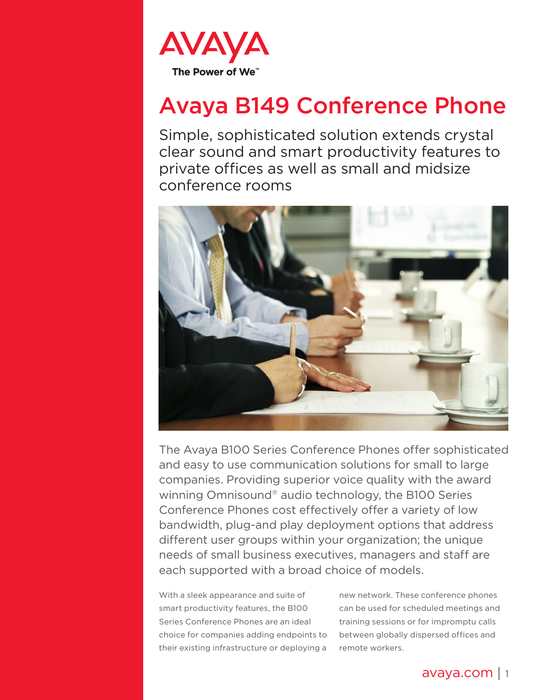

# Avaya B149 Conference Phone

Simple, sophisticated solution extends crystal clear sound and smart productivity features to private offices as well as small and midsize conference rooms



The Avaya B100 Series Conference Phones offer sophisticated and easy to use communication solutions for small to large companies. Providing superior voice quality with the award winning Omnisound® audio technology, the B100 Series Conference Phones cost effectively offer a variety of low bandwidth, plug-and play deployment options that address different user groups within your organization; the unique needs of small business executives, managers and staff are each supported with a broad choice of models.

With a sleek appearance and suite of smart productivity features, the B100 Series Conference Phones are an ideal choice for companies adding endpoints to their existing infrastructure or deploying a

new network. These conference phones can be used for scheduled meetings and training sessions or for impromptu calls between globally dispersed offices and remote workers.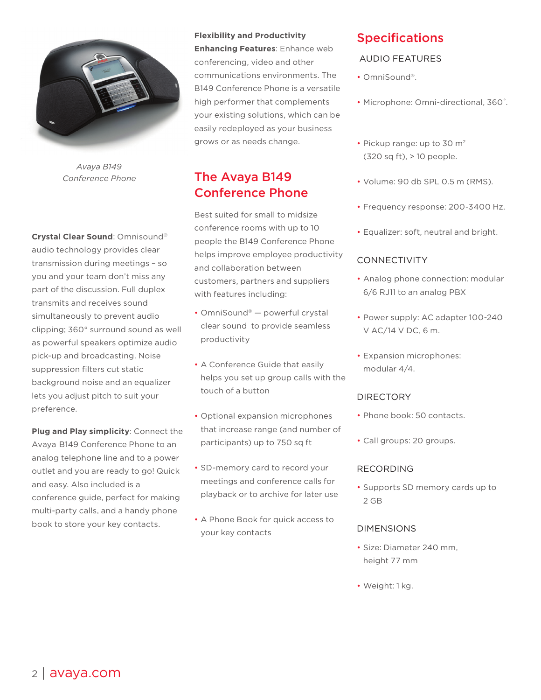

*Avaya B149 Conference Phone*

**Crystal Clear Sound**: Omnisound® audio technology provides clear transmission during meetings – so you and your team don't miss any part of the discussion. Full duplex transmits and receives sound simultaneously to prevent audio clipping; 360° surround sound as well as powerful speakers optimize audio pick-up and broadcasting. Noise suppression filters cut static background noise and an equalizer lets you adjust pitch to suit your preference.

**Plug and Play simplicity**: Connect the Avaya B149 Conference Phone to an analog telephone line and to a power outlet and you are ready to go! Quick and easy. Also included is a conference guide, perfect for making multi-party calls, and a handy phone book to store your key contacts.

#### **Flexibility and Productivity**

**Enhancing Features**: Enhance web conferencing, video and other communications environments. The B149 Conference Phone is a versatile high performer that complements your existing solutions, which can be easily redeployed as your business grows or as needs change.

# The Avaya B149 Conference Phone

Best suited for small to midsize conference rooms with up to 10 people the B149 Conference Phone helps improve employee productivity and collaboration between customers, partners and suppliers with features including:

- OmniSound® powerful crystal clear sound to provide seamless productivity
- A Conference Guide that easily helps you set up group calls with the touch of a button
- Optional expansion microphones that increase range (and number of participants) up to 750 sq ft
- SD-memory card to record your meetings and conference calls for playback or to archive for later use
- A Phone Book for quick access to your key contacts

# Specifications

## AUDIO FEATURES

- OmniSound®.
- Microphone: Omni-directional, 360˚.
- Pickup range: up to 30 m<sup>2</sup> (320 sq ft), > 10 people.
- Volume: 90 db SPL 0.5 m (RMS).
- Frequency response: 200-3400 Hz.
- Equalizer: soft, neutral and bright.

## CONNECTIVITY

- Analog phone connection: modular 6/6 RJ11 to an analog PBX
- Power supply: AC adapter 100-240 V AC/14 V DC, 6 m.
- Expansion microphones: modular 4/4.

#### DIRECTORY

- Phone book: 50 contacts.
- Call groups: 20 groups.

#### RECORDING

• Supports SD memory cards up to 2 GB

#### DIMENSIONS

- Size: Diameter 240 mm, height 77 mm
- Weight: 1 kg.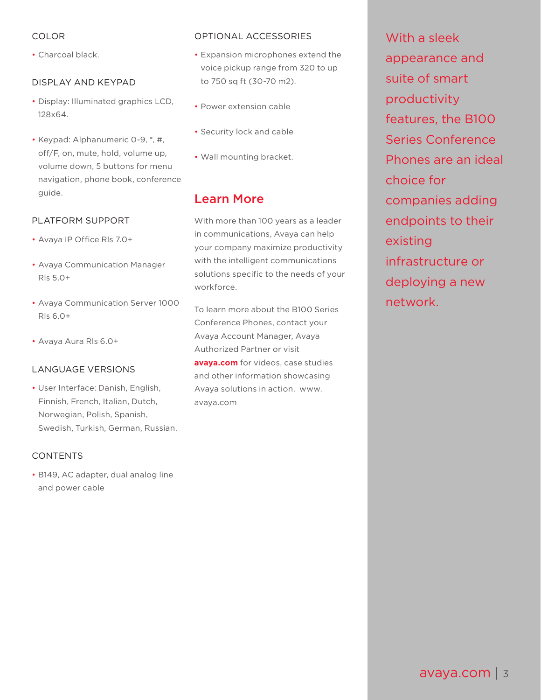## COLOR

• Charcoal black.

## DISPLAY AND KEYPAD

- Display: Illuminated graphics LCD, 128x64.
- Keypad: Alphanumeric 0-9, \*, #, off/F, on, mute, hold, volume up, volume down, 5 buttons for menu navigation, phone book, conference guide.

## PLATFORM SUPPORT

- Avaya IP Office Rls 7.0+
- Avaya Communication Manager Rls 5.0+
- Avaya Communication Server 1000 Rls 6.0+
- Avaya Aura Rls 6.0+

#### LANGUAGE VERSIONS

• User Interface: Danish, English, Finnish, French, Italian, Dutch, Norwegian, Polish, Spanish, Swedish, Turkish, German, Russian.

#### CONTENTS

• B149, AC adapter, dual analog line and power cable

#### OPTIONAL ACCESSORIES

- Expansion microphones extend the voice pickup range from 320 to up to 750 sq ft (30-70 m2).
- Power extension cable
- Security lock and cable
- Wall mounting bracket.

# Learn More

With more than 100 years as a leader in communications, Avaya can help your company maximize productivity with the intelligent communications solutions specific to the needs of your workforce.

To learn more about the B100 Series Conference Phones, contact your Avaya Account Manager, Avaya Authorized Partner or visit **avaya.com** for videos, case studies and other information showcasing Avaya solutions in action. www. avaya.com

With a sleek appearance and suite of smart productivity features, the B100 Series Conference Phones are an ideal choice for companies adding endpoints to their existing infrastructure or deploying a new network.